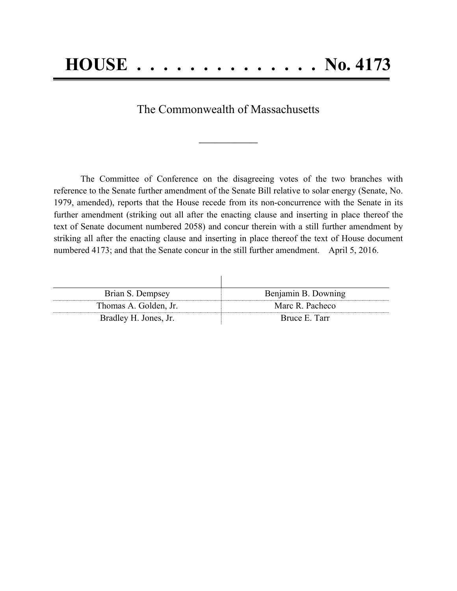## **HOUSE . . . . . . . . . . . . . . No. 4173**

The Commonwealth of Massachusetts

The Committee of Conference on the disagreeing votes of the two branches with reference to the Senate further amendment of the Senate Bill relative to solar energy (Senate, No. 1979, amended), reports that the House recede from its non-concurrence with the Senate in its further amendment (striking out all after the enacting clause and inserting in place thereof the text of Senate document numbered 2058) and concur therein with a still further amendment by striking all after the enacting clause and inserting in place thereof the text of House document numbered 4173; and that the Senate concur in the still further amendment. April 5, 2016.

| Brian S. Dempsey      | Benjamin B. Downing |
|-----------------------|---------------------|
| Thomas A. Golden, Jr. | Marc R. Pacheco     |
| Bradley H. Jones, Jr. | Bruce E. Tarr       |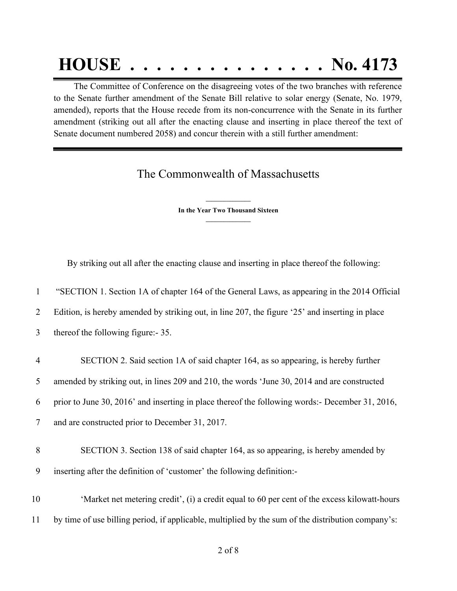## **HOUSE . . . . . . . . . . . . . . . No. 4173**

 The Committee of Conference on the disagreeing votes of the two branches with reference to the Senate further amendment of the Senate Bill relative to solar energy (Senate, No. 1979, amended), reports that the House recede from its non-concurrence with the Senate in its further amendment (striking out all after the enacting clause and inserting in place thereof the text of Senate document numbered 2058) and concur therein with a still further amendment:

## The Commonwealth of Massachusetts

**\_\_\_\_\_\_\_\_\_\_\_\_\_\_\_ In the Year Two Thousand Sixteen \_\_\_\_\_\_\_\_\_\_\_\_\_\_\_**

By striking out all after the enacting clause and inserting in place thereof the following:

1 "SECTION 1. Section 1A of chapter 164 of the General Laws, as appearing in the 2014 Official

2 Edition, is hereby amended by striking out, in line 207, the figure '25' and inserting in place

3 thereof the following figure:- 35.

| 4 | SECTION 2. Said section 1A of said chapter 164, as so appearing, is hereby further                |
|---|---------------------------------------------------------------------------------------------------|
| 5 | amended by striking out, in lines 209 and 210, the words 'June 30, 2014 and are constructed       |
|   | 6 prior to June 30, 2016' and inserting in place thereof the following words:- December 31, 2016, |
|   | and are constructed prior to December 31, 2017.                                                   |

8 SECTION 3. Section 138 of said chapter 164, as so appearing, is hereby amended by 9 inserting after the definition of 'customer' the following definition:-

10 'Market net metering credit', (i) a credit equal to 60 per cent of the excess kilowatt-hours 11 by time of use billing period, if applicable, multiplied by the sum of the distribution company's: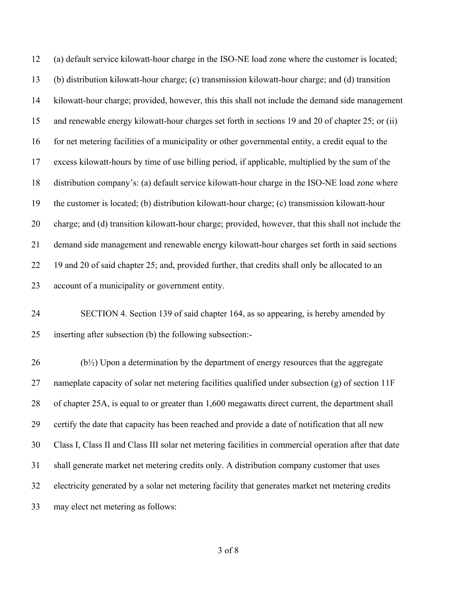(a) default service kilowatt-hour charge in the ISO-NE load zone where the customer is located; (b) distribution kilowatt-hour charge; (c) transmission kilowatt-hour charge; and (d) transition kilowatt-hour charge; provided, however, this this shall not include the demand side management and renewable energy kilowatt-hour charges set forth in sections 19 and 20 of chapter 25; or (ii) for net metering facilities of a municipality or other governmental entity, a credit equal to the excess kilowatt-hours by time of use billing period, if applicable, multiplied by the sum of the distribution company's: (a) default service kilowatt-hour charge in the ISO-NE load zone where the customer is located; (b) distribution kilowatt-hour charge; (c) transmission kilowatt-hour charge; and (d) transition kilowatt-hour charge; provided, however, that this shall not include the demand side management and renewable energy kilowatt-hour charges set forth in said sections 22 19 and 20 of said chapter 25; and, provided further, that credits shall only be allocated to an account of a municipality or government entity.

 SECTION 4. Section 139 of said chapter 164, as so appearing, is hereby amended by inserting after subsection (b) the following subsection:-

 (b<sup> $1/2$ </sup>) Upon a determination by the department of energy resources that the aggregate 27 nameplate capacity of solar net metering facilities qualified under subsection (g) of section 11F of chapter 25A, is equal to or greater than 1,600 megawatts direct current, the department shall certify the date that capacity has been reached and provide a date of notification that all new Class I, Class II and Class III solar net metering facilities in commercial operation after that date shall generate market net metering credits only. A distribution company customer that uses electricity generated by a solar net metering facility that generates market net metering credits may elect net metering as follows: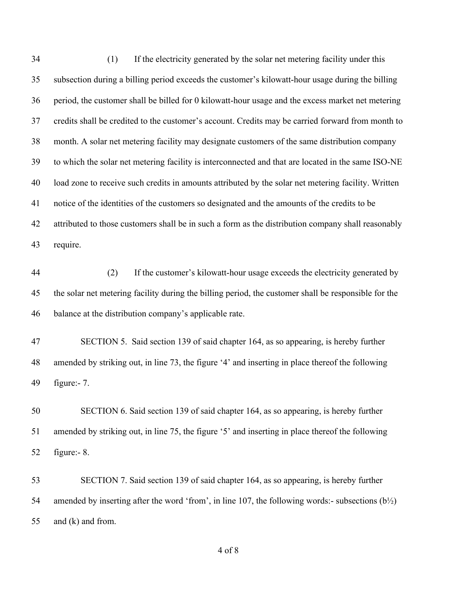| 34 | (1)<br>If the electricity generated by the solar net metering facility under this                    |
|----|------------------------------------------------------------------------------------------------------|
| 35 | subsection during a billing period exceeds the customer's kilowatt-hour usage during the billing     |
| 36 | period, the customer shall be billed for 0 kilowatt-hour usage and the excess market net metering    |
| 37 | credits shall be credited to the customer's account. Credits may be carried forward from month to    |
| 38 | month. A solar net metering facility may designate customers of the same distribution company        |
| 39 | to which the solar net metering facility is interconnected and that are located in the same ISO-NE   |
| 40 | load zone to receive such credits in amounts attributed by the solar net metering facility. Written  |
| 41 | notice of the identities of the customers so designated and the amounts of the credits to be         |
| 42 | attributed to those customers shall be in such a form as the distribution company shall reasonably   |
| 43 | require.                                                                                             |
| 44 | (2)<br>If the customer's kilowatt-hour usage exceeds the electricity generated by                    |
| 45 | the solar net metering facility during the billing period, the customer shall be responsible for the |
| 46 | balance at the distribution company's applicable rate.                                               |
| 47 | SECTION 5. Said section 139 of said chapter 164, as so appearing, is hereby further                  |
| 48 | amended by striking out, in line 73, the figure '4' and inserting in place thereof the following     |
| 49 | figure: $-7$ .                                                                                       |
| 50 | SECTION 6. Said section 139 of said chapter 164, as so appearing, is hereby further                  |
| 51 | amended by striking out, in line 75, the figure '5' and inserting in place thereof the following     |
| 52 | figure: $-8$ .                                                                                       |
| 53 | SECTION 7. Said section 139 of said chapter 164, as so appearing, is hereby further                  |
| 54 | amended by inserting after the word 'from', in line 107, the following words:- subsections $(b1/2)$  |

and (k) and from.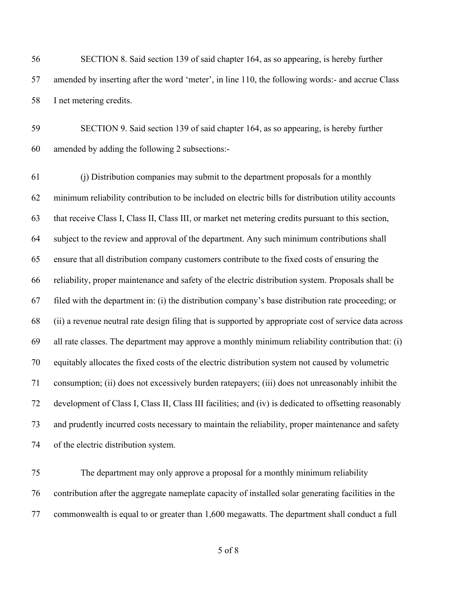SECTION 8. Said section 139 of said chapter 164, as so appearing, is hereby further amended by inserting after the word 'meter', in line 110, the following words:- and accrue Class I net metering credits.

 SECTION 9. Said section 139 of said chapter 164, as so appearing, is hereby further amended by adding the following 2 subsections:-

 (j) Distribution companies may submit to the department proposals for a monthly minimum reliability contribution to be included on electric bills for distribution utility accounts that receive Class I, Class II, Class III, or market net metering credits pursuant to this section, subject to the review and approval of the department. Any such minimum contributions shall ensure that all distribution company customers contribute to the fixed costs of ensuring the reliability, proper maintenance and safety of the electric distribution system. Proposals shall be filed with the department in: (i) the distribution company's base distribution rate proceeding; or (ii) a revenue neutral rate design filing that is supported by appropriate cost of service data across all rate classes. The department may approve a monthly minimum reliability contribution that: (i) equitably allocates the fixed costs of the electric distribution system not caused by volumetric consumption; (ii) does not excessively burden ratepayers; (iii) does not unreasonably inhibit the development of Class I, Class II, Class III facilities; and (iv) is dedicated to offsetting reasonably and prudently incurred costs necessary to maintain the reliability, proper maintenance and safety of the electric distribution system.

 The department may only approve a proposal for a monthly minimum reliability contribution after the aggregate nameplate capacity of installed solar generating facilities in the commonwealth is equal to or greater than 1,600 megawatts. The department shall conduct a full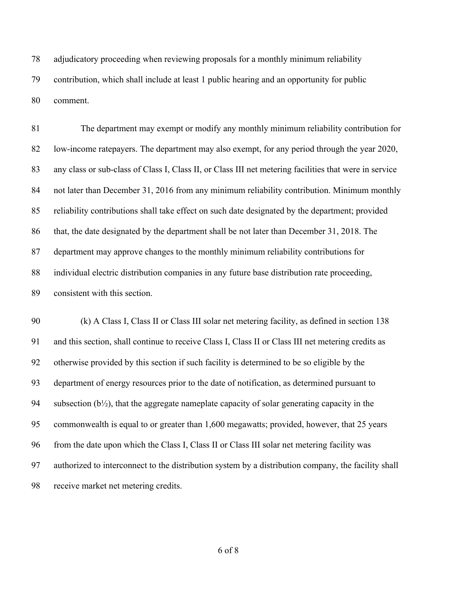adjudicatory proceeding when reviewing proposals for a monthly minimum reliability contribution, which shall include at least 1 public hearing and an opportunity for public comment.

 The department may exempt or modify any monthly minimum reliability contribution for low-income ratepayers. The department may also exempt, for any period through the year 2020, any class or sub-class of Class I, Class II, or Class III net metering facilities that were in service not later than December 31, 2016 from any minimum reliability contribution. Minimum monthly reliability contributions shall take effect on such date designated by the department; provided that, the date designated by the department shall be not later than December 31, 2018. The department may approve changes to the monthly minimum reliability contributions for individual electric distribution companies in any future base distribution rate proceeding, consistent with this section.

 (k) A Class I, Class II or Class III solar net metering facility, as defined in section 138 and this section, shall continue to receive Class I, Class II or Class III net metering credits as otherwise provided by this section if such facility is determined to be so eligible by the department of energy resources prior to the date of notification, as determined pursuant to 94 subsection  $(b\frac{1}{2})$ , that the aggregate nameplate capacity of solar generating capacity in the commonwealth is equal to or greater than 1,600 megawatts; provided, however, that 25 years from the date upon which the Class I, Class II or Class III solar net metering facility was authorized to interconnect to the distribution system by a distribution company, the facility shall receive market net metering credits.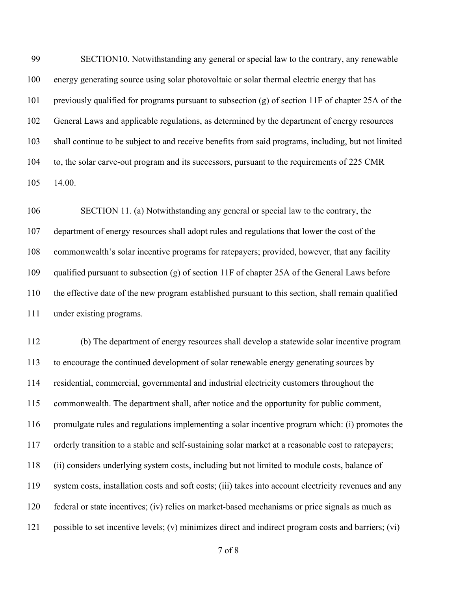SECTION10. Notwithstanding any general or special law to the contrary, any renewable energy generating source using solar photovoltaic or solar thermal electric energy that has previously qualified for programs pursuant to subsection (g) of section 11F of chapter 25A of the General Laws and applicable regulations, as determined by the department of energy resources shall continue to be subject to and receive benefits from said programs, including, but not limited to, the solar carve-out program and its successors, pursuant to the requirements of 225 CMR 14.00.

 SECTION 11. (a) Notwithstanding any general or special law to the contrary, the department of energy resources shall adopt rules and regulations that lower the cost of the commonwealth's solar incentive programs for ratepayers; provided, however, that any facility qualified pursuant to subsection (g) of section 11F of chapter 25A of the General Laws before the effective date of the new program established pursuant to this section, shall remain qualified under existing programs.

 (b) The department of energy resources shall develop a statewide solar incentive program to encourage the continued development of solar renewable energy generating sources by residential, commercial, governmental and industrial electricity customers throughout the commonwealth. The department shall, after notice and the opportunity for public comment, promulgate rules and regulations implementing a solar incentive program which: (i) promotes the orderly transition to a stable and self-sustaining solar market at a reasonable cost to ratepayers; (ii) considers underlying system costs, including but not limited to module costs, balance of system costs, installation costs and soft costs; (iii) takes into account electricity revenues and any federal or state incentives; (iv) relies on market-based mechanisms or price signals as much as possible to set incentive levels; (v) minimizes direct and indirect program costs and barriers; (vi)